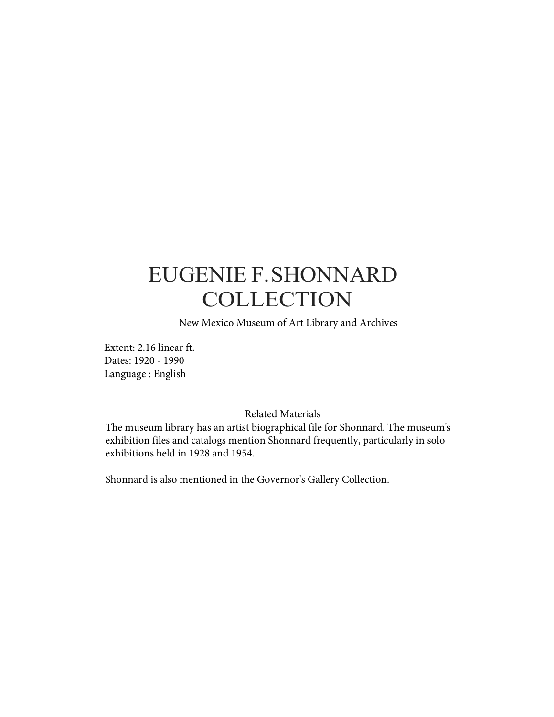# EUGENIE F.SHONNARD **COLLECTION**

New Mexico Museum of Art Library and Archives

Extent: 2.16 linear ft. Dates: 1920 - 1990 Language : English

#### Related Materials

The museum library has an artist biographical file for Shonnard. The museum's exhibition files and catalogs mention Shonnard frequently, particularly in solo exhibitions held in 1928 and 1954.

Shonnard is also mentioned in the Governor's Gallery Collection.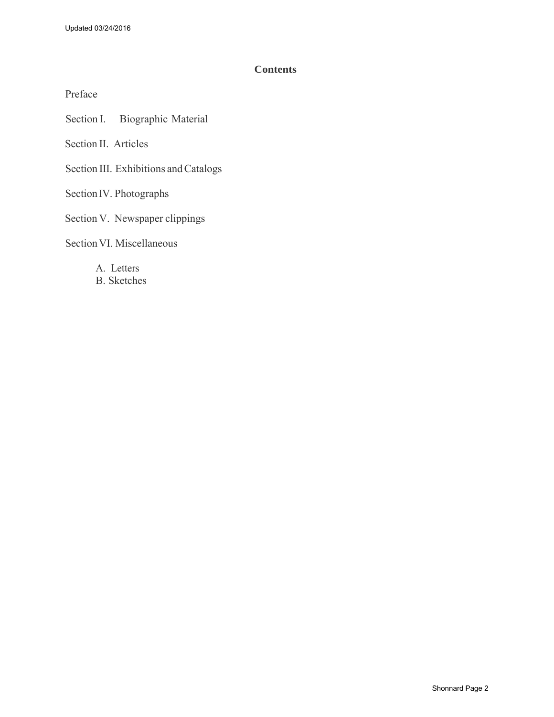#### **Contents**

Preface

Section I. Biographic Material

Section II. Articles

Section III. Exhibitions and Catalogs

Section IV. Photographs

Section V. Newspaper clippings

Section VI. Miscellaneous

A. Letters B. Sketches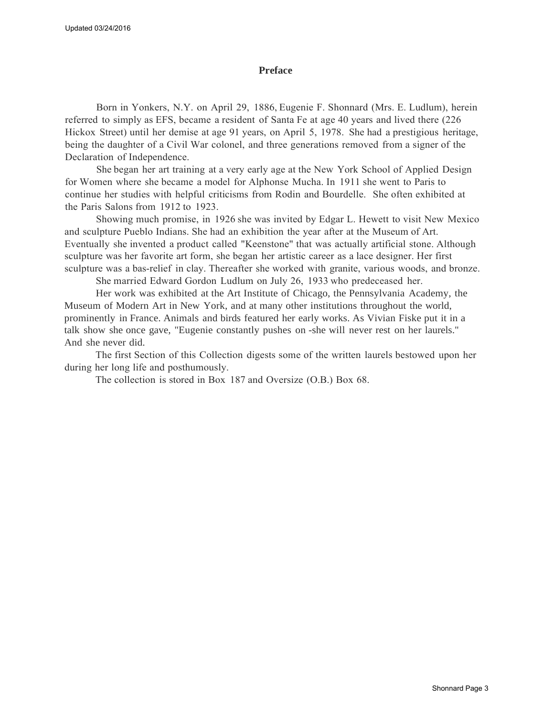#### **Preface**

Born in Yonkers, N.Y. on April 29, 1886, Eugenie F. Shonnard (Mrs. E. Ludlum), herein referred to simply as EFS, became a resident of Santa Fe at age 40 years and lived there (226 Hickox Street) until her demise at age 91 years, on April 5, 1978. She had a prestigious heritage, being the daughter of a Civil War colonel, and three generations removed from a signer of the Declaration of Independence.

She began her art training at a very early age at the New York School of Applied Design for Women where she became a model for Alphonse Mucha. In 1911 she went to Paris to continue her studies with helpful criticisms from Rodin and Bourdelle. She often exhibited at the Paris Salons from 1912 to 1923.

Showing much promise, in 1926 she was invited by Edgar L. Hewett to visit New Mexico and sculpture Pueblo Indians. She had an exhibition the year after at the Museum of Art. Eventually she invented a product called "Keenstone" that was actually artificial stone. Although sculpture was her favorite art form, she began her artistic career as a lace designer. Her first sculpture was a bas-relief in clay. Thereafter she worked with granite, various woods, and bronze.

She married Edward Gordon Ludlum on July 26, 1933 who predeceased her.

Her work was exhibited at the Art Institute of Chicago, the Pennsylvania Academy, the Museum of Modern Art in New York, and at many other institutions throughout the world, prominently in France. Animals and birds featured her early works. As Vivian Fiske put it in a talk show she once gave, "Eugenie constantly pushes on -she will never rest on her laurels." And she never did.

The first Section of this Collection digests some of the written laurels bestowed upon her during her long life and posthumously.

The collection is stored in Box 187 and Oversize (O.B.) Box 68.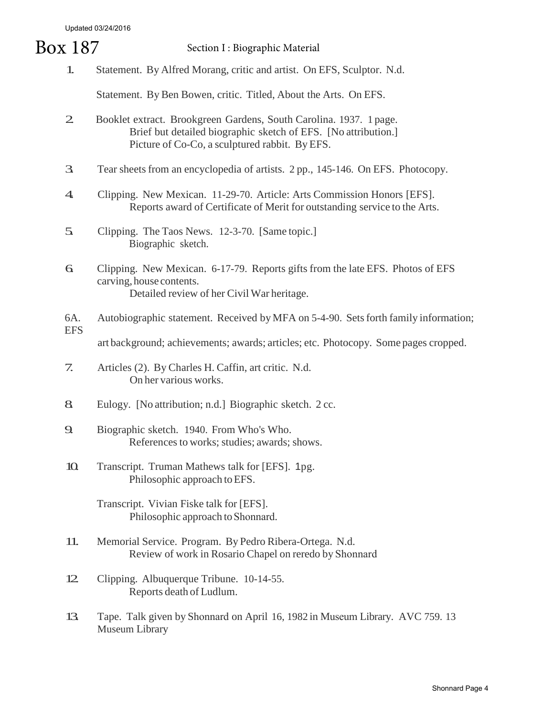Updated 03/24/2016

## 1. Statement. By Alfred Morang, critic and artist. On EFS, Sculptor. N.d. Statement. By Ben Bowen, critic. Titled, About the Arts. On EFS. 2. Booklet extract. Brookgreen Gardens, South Carolina. 1937. 1 page. Brief but detailed biographic sketch of EFS. [No attribution.] Picture of Co-Co, a sculptured rabbit. By EFS. 3. Tear sheetsfrom an encyclopedia of artists. 2 pp., 145-146. On EFS. Photocopy. 4. Clipping. New Mexican. 11-29-70. Article: Arts Commission Honors [EFS]. Reports award of Certificate of Merit for outstanding service to the Arts. 5. Clipping. The Taos News. 12-3-70. [Same topic.] Biographic sketch. 6. Clipping. New Mexican. 6-17-79. Reports gifts from the late EFS. Photos of EFS carving, house contents. Detailed review of her Civil War heritage. 6A. Autobiographic statement. Received by MFA on 5-4-90. Setsforth family information; EFS art background; achievements; awards; articles; etc. Photocopy. Some pages cropped. 7. Articles (2). By Charles H. Caffin, art critic. N.d. On her various works. 8. Eulogy. [No attribution; n.d.] Biographic sketch. 2 cc. 9. Biographic sketch. 1940. From Who's Who. References to works; studies; awards; shows. 10. Transcript. Truman Mathews talk for [EFS]. <sup>1</sup>pg. Philosophic approach toEFS. Transcript. Vivian Fiske talk for [EFS]. Philosophic approach to Shonnard. 11. Memorial Service. Program. By Pedro Ribera-Ortega. N.d. Review of work in Rosario Chapel on reredo by Shonnard 12. Clipping. Albuquerque Tribune. 10-14-55. Reports death of Ludlum. 13. Tape. Talk given by <sup>S</sup>honnard on April 16, 1982 in <sup>M</sup>useum Library. AVC 759. 13 Museum Library Box 187 Section I : Biographic Material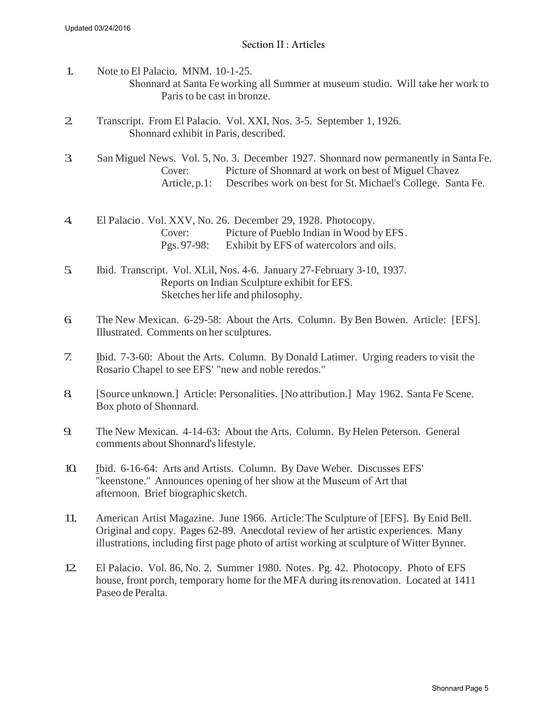- 1. Note to El Palacio. MNM. 10-1-25. Shonnard at Santa Feworking all Summer at museum studio. Will take her work to Paris to be cast in bronze.
- 2. Transcript. From El Palacio. Vol. XXI, Nos. 3-5. September 1, 1926. Shonnard exhibit in Paris, described.
- 3. San Miguel News. Vol. 5, No. 3. December 1927. Shonnard now permanently in Santa Fe. Cover: Picture of Shonnard at work on best of Miguel Chavez Article,p.1: Describes work on best for St. Michael's College. Santa Fe.
- 4. El Palacio. Vol. XXV, No. 26. December 29, 1928. Photocopy.<br>Cover: Picture of Pueblo Indian in Wood b Picture of Pueblo Indian in Wood by EFS. Pgs. 97-98: Exhibit by EFS of watercolors and oils.
- 5. Ibid. Transcript. Vol. XLil, Nos. 4-6. January 27-February 3-10, 1937. Reports on Indian Sculpture exhibit for EFS. Sketches her life and philosophy.
- 6. The New Mexican. 6-29-58: About the Arts. Column. By Ben Bowen. Article: [EFS]. Illustrated. Comments on her sculptures.
- 7. Ibid. 7-3-60: About the Arts. Column. By Donald Latimer. Urging readers to visit the Rosario Chapel to see EFS' "new and noble reredos."
- 8. [Source unknown.] Article: Personalities. [No attribution.] May 1962. Santa Fe Scene. Box photo of Shonnard.
- 9. The New Mexican. 4-14-63: About the Arts. Column. By Helen Peterson. General comments about Shonnard's lifestyle.
- 10. Ibid. 6-16-64: Arts and Artists. Column. By Dave Weber. Discusses EFS' "keenstone." Announces opening of her show at the Museum of Art that afternoon. Brief biographic sketch.
- 11. American Artist Magazine. June 1966. Article: The Sculpture of [EFS]. By Enid Bell. Original and copy. Pages 62-89. Anecdotal review of her artistic experiences. Many illustrations, including first page photo of artist working at sculpture of Witter Bynner.
- 12. El Palacio. Vol. 86, No. 2. Summer 1980. Notes. Pg. 42. Photocopy. Photo of EFS house, front porch, temporary home for the MFA during its renovation. Located at 1411 Paseo de Peralta.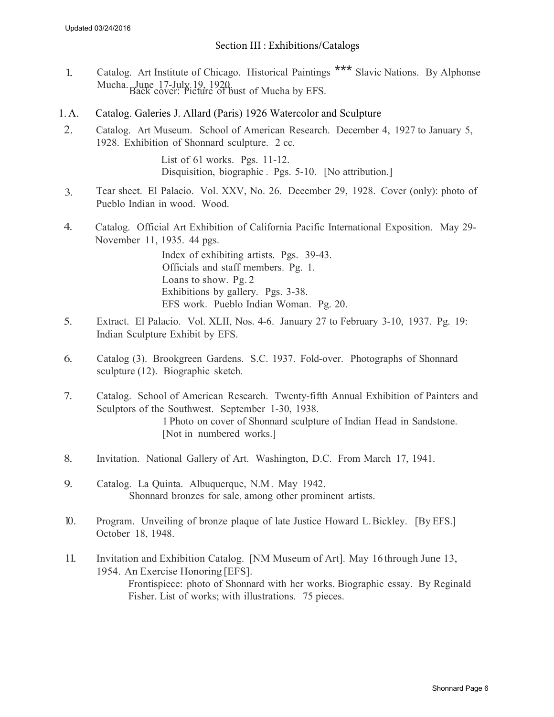#### Section III : Exhibitions/Catalogs

- 1. Catalog. Art Institute of Chicago. Historical Paintings \*\*\* Slavic Nations. By Alphonse Mucha. June 17-July 19, 1920.<br>Back cover: Picture of bust of Mucha by EFS.
- 1. A. Catalog. Galeries J. Allard (Paris) 1926 Watercolor and Sculpture
- 2. Catalog. Art Museum. School of American Research. December 4, 1927 to January 5, 1928. Exhibition of Shonnard sculpture. 2 cc.

List of 61 works. Pgs. 11-12. Disquisition, biographic . Pgs. 5-10. [No attribution.]

- 3. Tear sheet. El Palacio. Vol. XXV, No. 26. December 29, 1928. Cover (only): photo of Pueblo Indian in wood. Wood.
- 4. Catalog. Official Art Exhibition of California Pacific International Exposition. May 29- November 11, 1935. 44 pgs.

Index of exhibiting artists. Pgs. 39-43. Officials and staff members. Pg. 1. Loans to show. Pg. 2 Exhibitions by gallery. Pgs. 3-38. EFS work. Pueblo Indian Woman. Pg. 20.

- 5. Extract. El Palacio. Vol. XLII, Nos. 4-6. January 27 to February 3-10, 1937. Pg. 19: Indian Sculpture Exhibit by EFS.
- 6. Catalog (3). Brookgreen Gardens. S.C. 1937. Fold-over. Photographs of Shonnard sculpture (12). Biographic sketch.
- 7. Catalog. School of American Research. Twenty-fifth Annual Exhibition of Painters and Sculptors of the Southwest. September 1-30, 1938. 1 Photo on cover of Shonnard sculpture of Indian Head in Sandstone. [Not in numbered works.]
- 8. Invitation. National Gallery of Art. Washington, D.C. From March 17, 1941.
- 9. Catalog. La Quinta. Albuquerque, N.M. May 1942. Shonnard bronzes for sale, among other prominent artists.
- 10. Program. Unveiling of bronze plaque of late Justice Howard L.Bickley. [By EFS.] October 18, 1948.
- 11. Invitation and Exhibition Catalog. [NM Museum of Art]. May 16through June 13, 1954. An Exercise Honoring [EFS]. Frontispiece: photo of Shonnard with her works. Biographic essay. By Reginald Fisher. List of works; with illustrations. 75 pieces.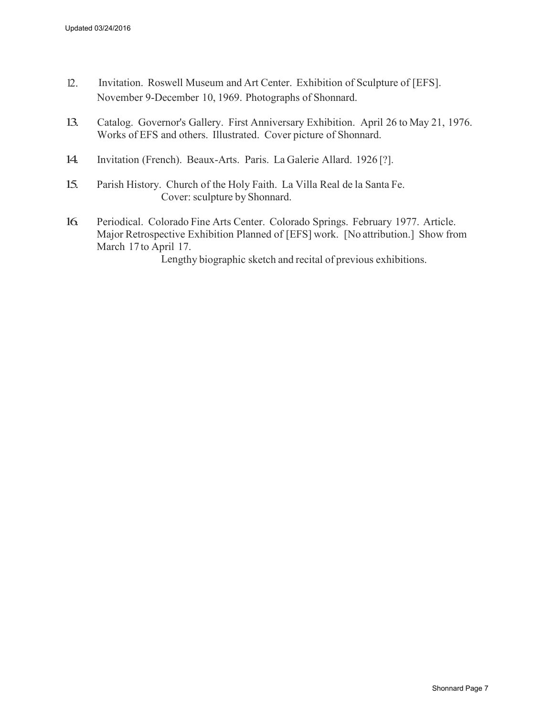- 12. Invitation. Roswell Museum and Art Center. Exhibition of Sculpture of [EFS]. November 9-December 10, 1969. Photographs of Shonnard.
- 13. Catalog. Governor's Gallery. First Anniversary Exhibition. April 26 to May 21, 1976. Works of EFS and others. Illustrated. Cover picture of Shonnard.
- 14. Invitation (French). Beaux-Arts. Paris. La Galerie Allard. 1926 [?].
- 15. Parish History. Church of the Holy Faith. La Villa Real de la Santa Fe. Cover: sculpture by Shonnard.
- 16. Periodical. Colorado Fine Arts Center. Colorado Springs. February 1977. Article. Major Retrospective Exhibition Planned of [EFS] work. [No attribution.] Show from March 17 to April 17.

Lengthy biographic sketch and recital of previous exhibitions.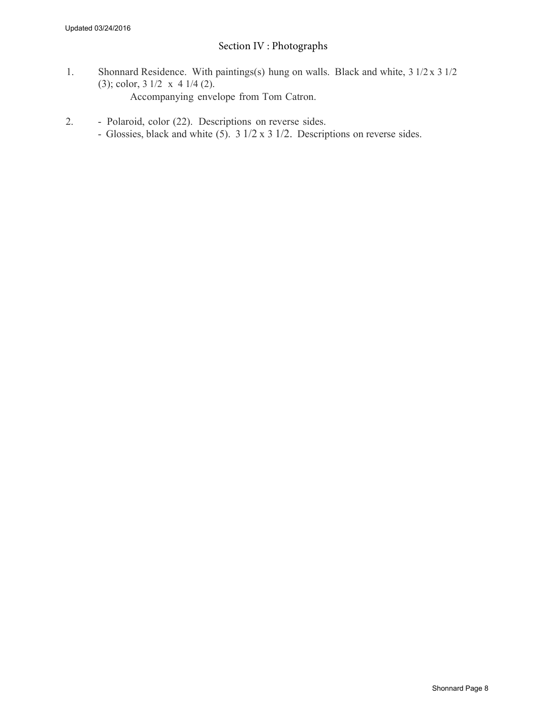## Section IV : Photographs

- 1. Shonnard Residence. With paintings(s) hung on walls. Black and white, 3 1/2 x 3 1/2 (3); color, 3 1/2 x 4 1/4 (2). Accompanying envelope from Tom Catron.
- 2. Polaroid, color (22). Descriptions on reverse sides.
	- Glossies, black and white (5). 3 1/2 x 3 1/2. Descriptions on reverse sides.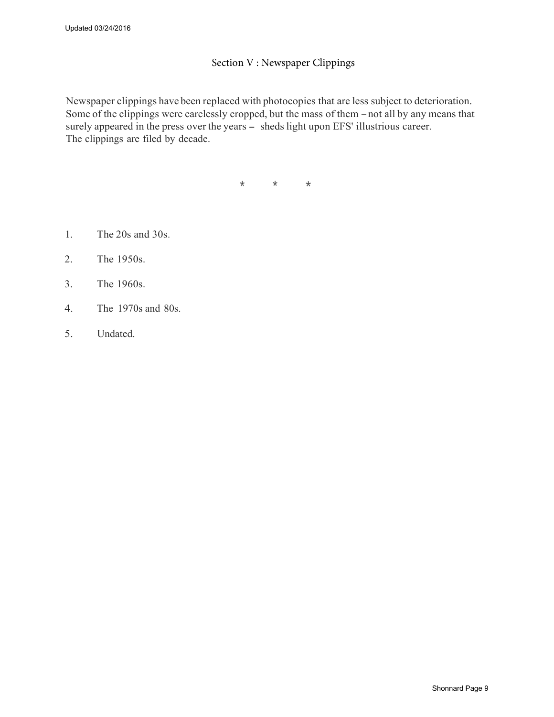#### Section V : Newspaper Clippings

Newspaper clippings have been replaced with photocopies that are less subject to deterioration. Some of the clippings were carelessly cropped, but the mass of them - not all by any means that surely appeared in the press over the years - sheds light upon EFS' illustrious career. The clippings are filed by decade.

\* \* \*

- 1. The 20s and 30s.
- 2. The 1950s.
- 3. The 1960s.
- 4. The 1970s and 80s.
- 5. Undated.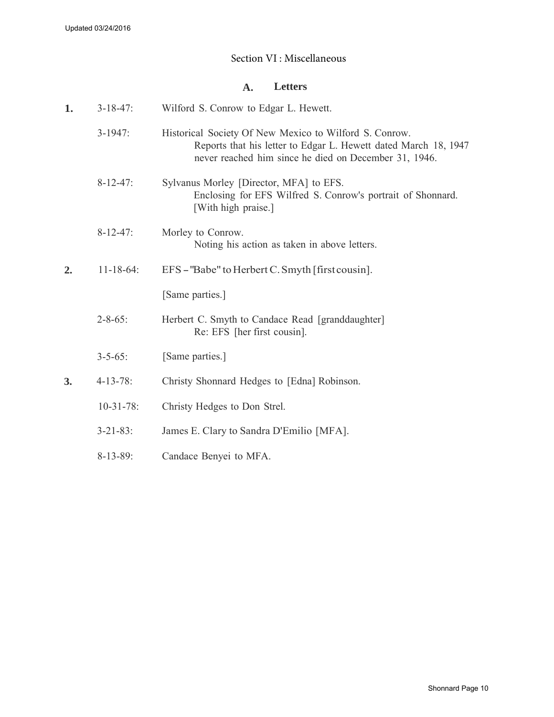### Section VI : Miscellaneous

#### **A. Letters**

| 1. | $3 - 18 - 47$ :  | Wilford S. Conrow to Edgar L. Hewett.                                                                                                                                              |
|----|------------------|------------------------------------------------------------------------------------------------------------------------------------------------------------------------------------|
|    | $3-1947$ :       | Historical Society Of New Mexico to Wilford S. Conrow.<br>Reports that his letter to Edgar L. Hewett dated March 18, 1947<br>never reached him since he died on December 31, 1946. |
|    | $8-12-47$ :      | Sylvanus Morley [Director, MFA] to EFS.<br>Enclosing for EFS Wilfred S. Conrow's portrait of Shonnard.<br>[With high praise.]                                                      |
|    | $8-12-47$ :      | Morley to Conrow.<br>Noting his action as taken in above letters.                                                                                                                  |
| 2. | $11 - 18 - 64$ : | EFS – "Babe" to Herbert C. Smyth [first cousin].                                                                                                                                   |
|    |                  | [Same parties.]                                                                                                                                                                    |
|    | $2 - 8 - 65$ :   | Herbert C. Smyth to Candace Read [granddaughter]<br>Re: EFS [her first cousin].                                                                                                    |
|    | $3 - 5 - 65$ :   | [Same parties.]                                                                                                                                                                    |
| 3. | $4 - 13 - 78$ :  | Christy Shonnard Hedges to [Edna] Robinson.                                                                                                                                        |
|    | $10-31-78$ :     | Christy Hedges to Don Strel.                                                                                                                                                       |
|    | $3 - 21 - 83$ :  | James E. Clary to Sandra D'Emilio [MFA].                                                                                                                                           |
|    | $8-13-89$ :      | Candace Benyei to MFA.                                                                                                                                                             |